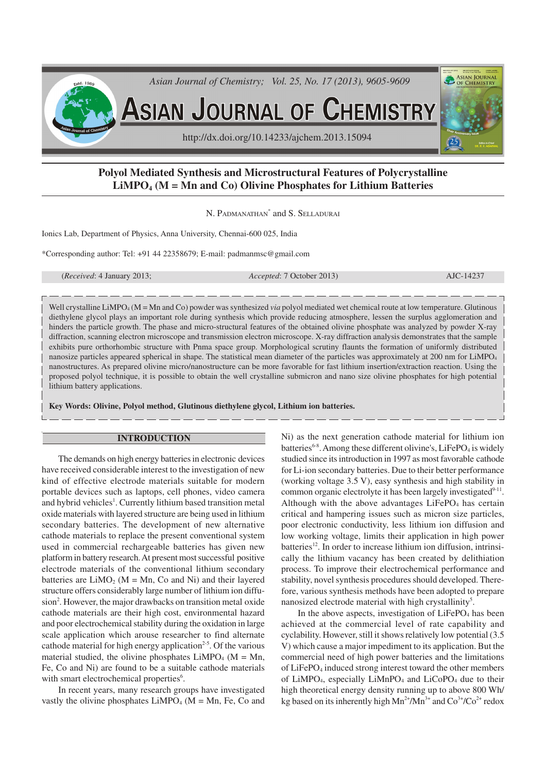

# **Polyol Mediated Synthesis and Microstructural Features of Polycrystalline LiMPO4 (M = Mn and Co) Olivine Phosphates for Lithium Batteries**

N. PADMANATHAN<sup>\*</sup> and S. Selladurai

Ionics Lab, Department of Physics, Anna University, Chennai-600 025, India

\*Corresponding author: Tel: +91 44 22358679; E-mail: padmanmsc@gmail.com

(*Received*: 4 January 2013; *Accepted*: 7 October 2013) AJC-14237

Well crystalline LiMPO<sub>4</sub> (M = Mn and Co) powder was synthesized *via* polyol mediated wet chemical route at low temperature. Glutinous diethylene glycol plays an important role during synthesis which provide reducing atmosphere, lessen the surplus agglomeration and hinders the particle growth. The phase and micro-structural features of the obtained olivine phosphate was analyzed by powder X-ray diffraction, scanning electron microscope and transmission electron microscope. X-ray diffraction analysis demonstrates that the sample exhibits pure orthorhombic structure with Pnma space group. Morphological scrutiny flaunts the formation of uniformly distributed nanosize particles appeared spherical in shape. The statistical mean diameter of the particles was approximately at 200 nm for LiMPO<sup>4</sup> nanostructures. As prepared olivine micro/nanostructure can be more favorable for fast lithium insertion/extraction reaction. Using the proposed polyol technique, it is possible to obtain the well crystalline submicron and nano size olivine phosphates for high potential lithium battery applications.

**Key Words: Olivine, Polyol method, Glutinous diethylene glycol, Lithium ion batteries.**

#### **INTRODUCTION**

The demands on high energy batteries in electronic devices have received considerable interest to the investigation of new kind of effective electrode materials suitable for modern portable devices such as laptops, cell phones, video camera and hybrid vehicles<sup>1</sup>. Currently lithium based transition metal oxide materials with layered structure are being used in lithium secondary batteries. The development of new alternative cathode materials to replace the present conventional system used in commercial rechargeable batteries has given new platform in battery research. At present most successful positive electrode materials of the conventional lithium secondary batteries are  $LiMO<sub>2</sub>$  (M = Mn, Co and Ni) and their layered structure offers considerably large number of lithium ion diffusion<sup>2</sup>. However, the major drawbacks on transition metal oxide cathode materials are their high cost, environmental hazard and poor electrochemical stability during the oxidation in large scale application which arouse researcher to find alternate cathode material for high energy application<sup>2-5</sup>. Of the various material studied, the olivine phosphates  $LiMPO<sub>4</sub>$  (M = Mn, Fe, Co and Ni) are found to be a suitable cathode materials with smart electrochemical properties<sup>6</sup>.

In recent years, many research groups have investigated vastly the olivine phosphates  $LiMPO<sub>4</sub>$  (M = Mn, Fe, Co and Ni) as the next generation cathode material for lithium ion batteries<sup>6-8</sup>. Among these different olivine's, LiFePO<sub>4</sub> is widely studied since its introduction in 1997 as most favorable cathode for Li-ion secondary batteries. Due to their better performance (working voltage 3.5 V), easy synthesis and high stability in common organic electrolyte it has been largely investigated<sup>9-11</sup>. Although with the above advantages  $LiFePO<sub>4</sub>$  has certain critical and hampering issues such as micron size particles, poor electronic conductivity, less lithium ion diffusion and low working voltage, limits their application in high power  $b$ atteries<sup>12</sup>. In order to increase lithium ion diffusion, intrinsically the lithium vacancy has been created by delithiation process. To improve their electrochemical performance and stability, novel synthesis procedures should developed. Therefore, various synthesis methods have been adopted to prepare nanosized electrode material with high crystallinity<sup>5</sup>.

In the above aspects, investigation of  $LiFePO<sub>4</sub>$  has been achieved at the commercial level of rate capability and cyclability. However, still it shows relatively low potential (3.5 V) which cause a major impediment to its application. But the commercial need of high power batteries and the limitations of LiFePO<sub>4</sub> induced strong interest toward the other members of LiMPO<sub>4</sub>, especially LiMnPO<sub>4</sub> and LiCoPO<sub>4</sub> due to their high theoretical energy density running up to above 800 Wh/ kg based on its inherently high  $Mn^{2+}/Mn^{3+}$  and  $Co^{3+}/Co^{2+}$  redox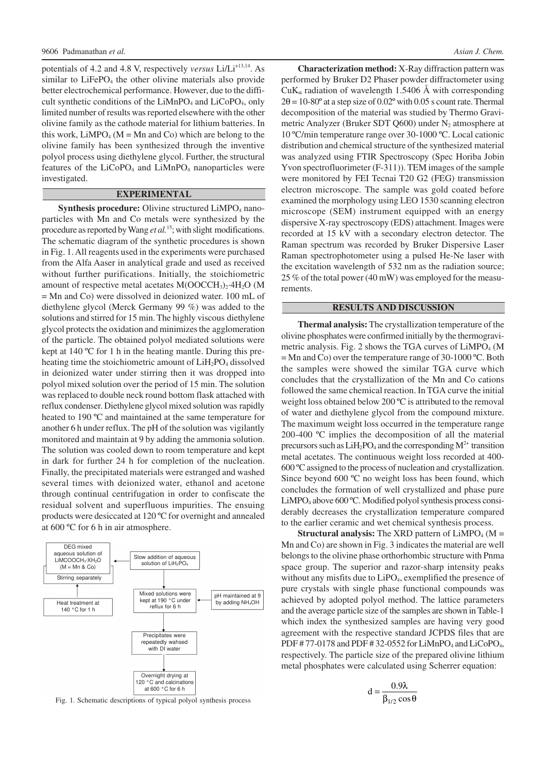potentials of 4.2 and 4.8 V, respectively *versus* Li/Li<sup>+13,14</sup>. As similar to  $LiFePO<sub>4</sub>$  the other olivine materials also provide better electrochemical performance. However, due to the difficult synthetic conditions of the  $LiMnPO<sub>4</sub>$  and  $LiCoPO<sub>4</sub>$ , only limited number of results was reported elsewhere with the other olivine family as the cathode material for lithium batteries. In this work,  $LiMPO<sub>4</sub>$  (M = Mn and Co) which are belong to the olivine family has been synthesized through the inventive polyol process using diethylene glycol. Further, the structural features of the  $LiCoPO<sub>4</sub>$  and  $LiMnPO<sub>4</sub>$  nanoparticles were investigated.

#### **EXPERIMENTAL**

**Synthesis procedure:** Olivine structured LiMPO<sub>4</sub> nanoparticles with Mn and Co metals were synthesized by the procedure as reported by Wang *et al.*<sup>15</sup>; with slight modifications. The schematic diagram of the synthetic procedures is shown in Fig. 1. All reagents used in the experiments were purchased from the Alfa Aaser in analytical grade and used as received without further purifications. Initially, the stoichiometric amount of respective metal acetates  $M(OOCCH<sub>3</sub>)<sub>2</sub>·4H<sub>2</sub>O$  (M = Mn and Co) were dissolved in deionized water. 100 mL of diethylene glycol (Merck Germany 99 %) was added to the solutions and stirred for 15 min. The highly viscous diethylene glycol protects the oxidation and minimizes the agglomeration of the particle. The obtained polyol mediated solutions were kept at 140 ºC for 1 h in the heating mantle. During this preheating time the stoichiometric amount of  $LiH<sub>2</sub>PO<sub>4</sub>$  dissolved in deionized water under stirring then it was dropped into polyol mixed solution over the period of 15 min. The solution was replaced to double neck round bottom flask attached with reflux condenser. Diethylene glycol mixed solution was rapidly heated to 190 ºC and maintained at the same temperature for another 6 h under reflux. The pH of the solution was vigilantly monitored and maintain at 9 by adding the ammonia solution. The solution was cooled down to room temperature and kept in dark for further 24 h for completion of the nucleation. Finally, the precipitated materials were estranged and washed several times with deionized water, ethanol and acetone through continual centrifugation in order to confiscate the residual solvent and superfluous impurities. The ensuing products were desiccated at 120 ºC for overnight and annealed at 600 ºC for 6 h in air atmosphere.



**Characterization method:** X-Ray diffraction pattern was performed by Bruker D2 Phaser powder diffractometer using  $CuK_{\alpha}$  radiation of wavelength 1.5406 Å with corresponding  $2\theta = 10-80^\circ$  at a step size of  $0.02^\circ$  with 0.05 s count rate. Thermal decomposition of the material was studied by Thermo Gravimetric Analyzer (Bruker SDT Q600) under  $N_2$  atmosphere at 10 ºC/min temperature range over 30-1000 ºC. Local cationic distribution and chemical structure of the synthesized material was analyzed using FTIR Spectroscopy (Spec Horiba Jobin Yvon spectrofluorimeter (F-311)). TEM images of the sample were monitored by FEI Tecnai T20 G2 (FEG) transmission electron microscope. The sample was gold coated before examined the morphology using LEO 1530 scanning electron microscope (SEM) instrument equipped with an energy dispersive X-ray spectroscopy (EDS) attachment. Images were recorded at 15 kV with a secondary electron detector. The Raman spectrum was recorded by Bruker Dispersive Laser Raman spectrophotometer using a pulsed He-Ne laser with the excitation wavelength of 532 nm as the radiation source; 25 % of the total power (40 mW) was employed for the measurements.

#### **RESULTS AND DISCUSSION**

**Thermal analysis:** The crystallization temperature of the olivine phosphates were confirmed initially by the thermogravimetric analysis. Fig. 2 shows the TGA curves of  $LiMPO<sub>4</sub>$  (M  $=$  Mn and Co) over the temperature range of 30-1000 °C. Both the samples were showed the similar TGA curve which concludes that the crystallization of the Mn and Co cations followed the same chemical reaction. In TGA curve the initial weight loss obtained below 200 ºC is attributed to the removal of water and diethylene glycol from the compound mixture. The maximum weight loss occurred in the temperature range 200-400 ºC implies the decomposition of all the material precursors such as  $LiH_2PO_4$  and the corresponding  $M^{2+}$  transition metal acetates. The continuous weight loss recorded at 400- 600 ºC assigned to the process of nucleation and crystallization. Since beyond 600 °C no weight loss has been found, which concludes the formation of well crystallized and phase pure LiMPO<sub>4</sub> above 600 °C. Modified polyol synthesis process considerably decreases the crystallization temperature compared to the earlier ceramic and wet chemical synthesis process.

**Structural analysis:** The XRD pattern of  $LiMPO<sub>4</sub>$  (M = Mn and Co) are shown in Fig. 3 indicates the material are well belongs to the olivine phase orthorhombic structure with Pnma space group. The superior and razor-sharp intensity peaks without any misfits due to LiPO<sub>4</sub>, exemplified the presence of pure crystals with single phase functional compounds was achieved by adopted polyol method. The lattice parameters and the average particle size of the samples are shown in Table-1 which index the synthesized samples are having very good agreement with the respective standard JCPDS files that are PDF # 77-0178 and PDF # 32-0552 for LiMnPO<sub>4</sub> and LiCoPO<sub>4</sub>, respectively. The particle size of the prepared olivine lithium metal phosphates were calculated using Scherrer equation:

$$
d = \frac{0.9\lambda}{\beta_{1/2}\cos\theta}
$$

Fig. 1. Schematic descriptions of typical polyol synthesis process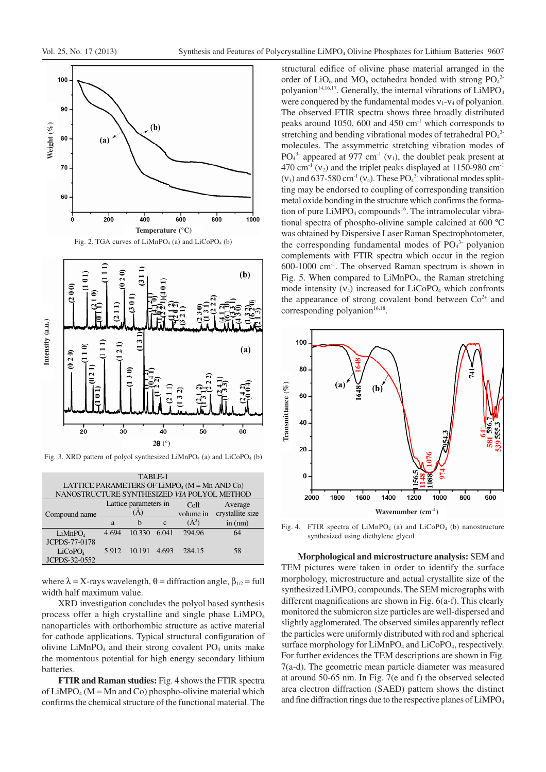



Fig. 3. XRD pattern of polyol synthesized LiMnPO<sub>4</sub> (a) and LiCoPO<sub>4</sub> (b)

| TABLE-1                                                     |                       |        |              |           |                  |
|-------------------------------------------------------------|-----------------------|--------|--------------|-----------|------------------|
| LATTICE PARAMETERS OF LIMPO <sub>4</sub> ( $M = Mn$ AND Co) |                       |        |              |           |                  |
| NANOSTRUCTURE SYNTHESIZED VIA POLYOL METHOD                 |                       |        |              |           |                  |
|                                                             | Lattice parameters in |        |              | Cell      | Average          |
| Compound name                                               | (A)                   |        |              | volume in | crystallite size |
|                                                             | a                     | h      | $\mathbf{C}$ | $(\AA^3)$ | in (nm)          |
| LiMnPO <sub>4</sub>                                         | 4.694                 | 10.330 | 6.041        | 294.96    | 64               |
| JCPDS-77-0178                                               |                       |        |              |           |                  |
| LiCoPO <sub>A</sub>                                         | 5.912                 | 10.191 | 4.693        | 284.15    | 58               |
| JCPDS-32-0552                                               |                       |        |              |           |                  |

where  $\lambda = X$ -rays wavelength,  $\theta =$  diffraction angle,  $\beta_{1/2} =$  full width half maximum value.

XRD investigation concludes the polyol based synthesis process offer a high crystalline and single phase LiMPO<sub>4</sub> nanoparticles with orthorhombic structure as active material for cathode applications. Typical structural configuration of olivine  $LiMnPO<sub>4</sub>$  and their strong covalent  $PO<sub>4</sub>$  units make the momentous potential for high energy secondary lithium batteries.

**FTIR and Raman studies:** Fig. 4 shows the FTIR spectra of  $LiMPO<sub>4</sub>$  (M = Mn and Co) phospho-olivine material which confirms the chemical structure of the functional material. The

structural edifice of olivine phase material arranged in the order of  $LiO_6$  and  $MO_6$  octahedra bonded with strong  $PO_4^3$ polyanion<sup>14,16,17</sup>. Generally, the internal vibrations of  $LiMPO<sub>4</sub>$ were conquered by the fundamental modes  $v_1$ - $v_4$  of polyanion. The observed FTIR spectra shows three broadly distributed peaks around 1050, 600 and 450 cm-1 which corresponds to stretching and bending vibrational modes of tetrahedral  $PO<sub>4</sub><sup>3</sup>$ molecules. The assymmetric stretching vibration modes of  $PO<sub>4</sub><sup>3</sup>$  appeared at 977 cm<sup>-1</sup> ( $v<sub>1</sub>$ ), the doublet peak present at 470 cm<sup>-1</sup> ( $v_2$ ) and the triplet peaks displayed at 1150-980 cm<sup>-1</sup>  $(v_3)$  and 637-580 cm<sup>-1</sup>  $(v_4)$ . These PO<sub>4</sub><sup>3</sup> vibrational modes splitting may be endorsed to coupling of corresponding transition metal oxide bonding in the structure which confirms the formation of pure  $LiMPO_4$  compounds<sup>16</sup>. The intramolecular vibrational spectra of phospho-olivine sample calcined at 600 ºC was obtained by Dispersive Laser Raman Spectrophotometer, the corresponding fundamental modes of PO<sub>4</sub><sup>3</sup> polyanion complements with FTIR spectra which occur in the region 600-1000 cm-1 . The observed Raman spectrum is shown in Fig. 5. When compared to LiMnPO<sub>4</sub>, the Raman stretching mode intensity  $(V_4)$  increased for LiCoPO<sub>4</sub> which confronts the appearance of strong covalent bond between  $Co<sup>2+</sup>$  and corresponding polyanion $16,18$ .



Fig. 4. FTIR spectra of  $LiMnPO<sub>4</sub>$  (a) and  $LiCoPO<sub>4</sub>$  (b) nanostructure synthesized using diethylene glycol

**Morphological and microstructure analysis:** SEM and TEM pictures were taken in order to identify the surface morphology, microstructure and actual crystallite size of the synthesized LiMPO<sub>4</sub> compounds. The SEM micrographs with different magnifications are shown in Fig. 6(a-f). This clearly monitored the submicron size particles are well-dispersed and slightly agglomerated. The observed similes apparently reflect the particles were uniformly distributed with rod and spherical surface morphology for LiMnPO<sub>4</sub> and LiCoPO<sub>4</sub>, respectively. For further evidences the TEM descriptions are shown in Fig. 7(a-d). The geometric mean particle diameter was measured at around 50-65 nm. In Fig. 7(e and f) the observed selected area electron diffraction (SAED) pattern shows the distinct and fine diffraction rings due to the respective planes of LiMPO<sub>4</sub>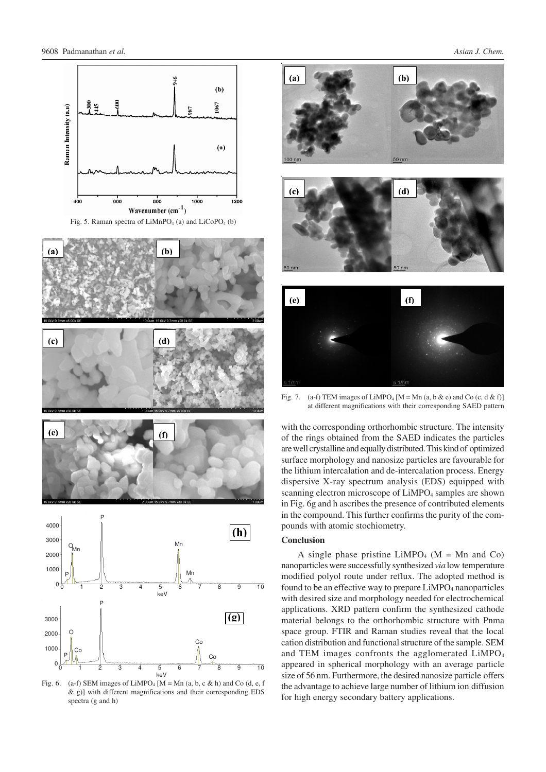

Fig. 5. Raman spectra of  $LiMnPO<sub>4</sub>$  (a) and  $LiCoPO<sub>4</sub>$  (b)



Fig. 6. (a-f) SEM images of LiMPO<sub>4</sub> [M = Mn (a, b, c & h) and Co (d, e, f & g)] with different magnifications and their corresponding EDS spectra (g and h)





Fig. 7. (a-f) TEM images of LiMPO<sub>4</sub> [M = Mn (a, b & e) and Co (c, d & f)] at different magnifications with their corresponding SAED pattern

with the corresponding orthorhombic structure. The intensity of the rings obtained from the SAED indicates the particles are well crystalline and equally distributed. This kind of optimized surface morphology and nanosize particles are favourable for the lithium intercalation and de-intercalation process. Energy dispersive X-ray spectrum analysis (EDS) equipped with scanning electron microscope of LiMPO<sub>4</sub> samples are shown in Fig. 6g and h ascribes the presence of contributed elements in the compound. This further confirms the purity of the compounds with atomic stochiometry.

#### **Conclusion**

A single phase pristine  $LiMPO<sub>4</sub>$  (M = Mn and Co) nanoparticles were successfully synthesized *via* low temperature modified polyol route under reflux. The adopted method is found to be an effective way to prepare LiMPO<sub>4</sub> nanoparticles with desired size and morphology needed for electrochemical applications. XRD pattern confirm the synthesized cathode material belongs to the orthorhombic structure with Pnma space group. FTIR and Raman studies reveal that the local cation distribution and functional structure of the sample. SEM and TEM images confronts the agglomerated LiMPO<sub>4</sub> appeared in spherical morphology with an average particle size of 56 nm. Furthermore, the desired nanosize particle offers the advantage to achieve large number of lithium ion diffusion for high energy secondary battery applications.